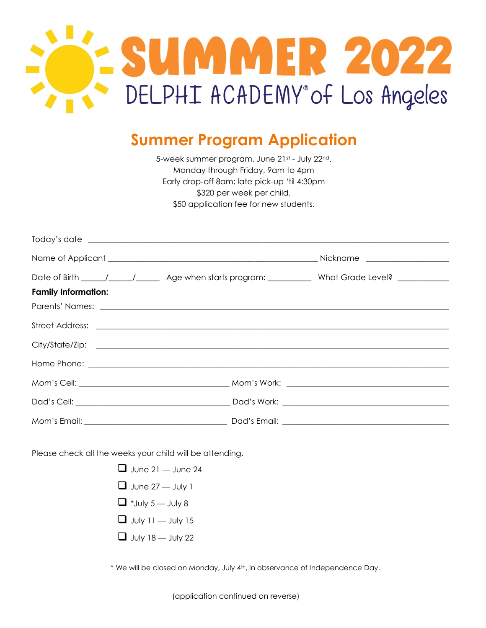

## **Summer Program Application**

5-week summer program, June 21st - July 22nd. Monday through Friday, 9am to 4pm Early drop-off 8am; late pick-up 'til 4:30pm \$320 per week per child. \$50 application fee for new students.

|                                                                                                                                                                                                                                      | Date of Birth _____/_____/________ Age when starts program: ______________ What Grade Level? _____________ |
|--------------------------------------------------------------------------------------------------------------------------------------------------------------------------------------------------------------------------------------|------------------------------------------------------------------------------------------------------------|
| <b>Family Information:</b>                                                                                                                                                                                                           |                                                                                                            |
|                                                                                                                                                                                                                                      |                                                                                                            |
| Street Address: <u>example and a series of the series of the series of the series of the series of the series of the series of the series of the series of the series of the series of the series of the series of the series of</u> |                                                                                                            |
|                                                                                                                                                                                                                                      |                                                                                                            |
|                                                                                                                                                                                                                                      |                                                                                                            |
|                                                                                                                                                                                                                                      |                                                                                                            |
|                                                                                                                                                                                                                                      |                                                                                                            |
|                                                                                                                                                                                                                                      |                                                                                                            |

Please check all the weeks your child will be attending.

- $\Box$  June 21 June 24  $\Box$  June 27 — July 1  $\Box$  \*July 5 — July 8  $\Box$  July 11 — July 15
- $\Box$  July 18 July 22

\* We will be closed on Monday, July 4th, in observance of Independence Day.